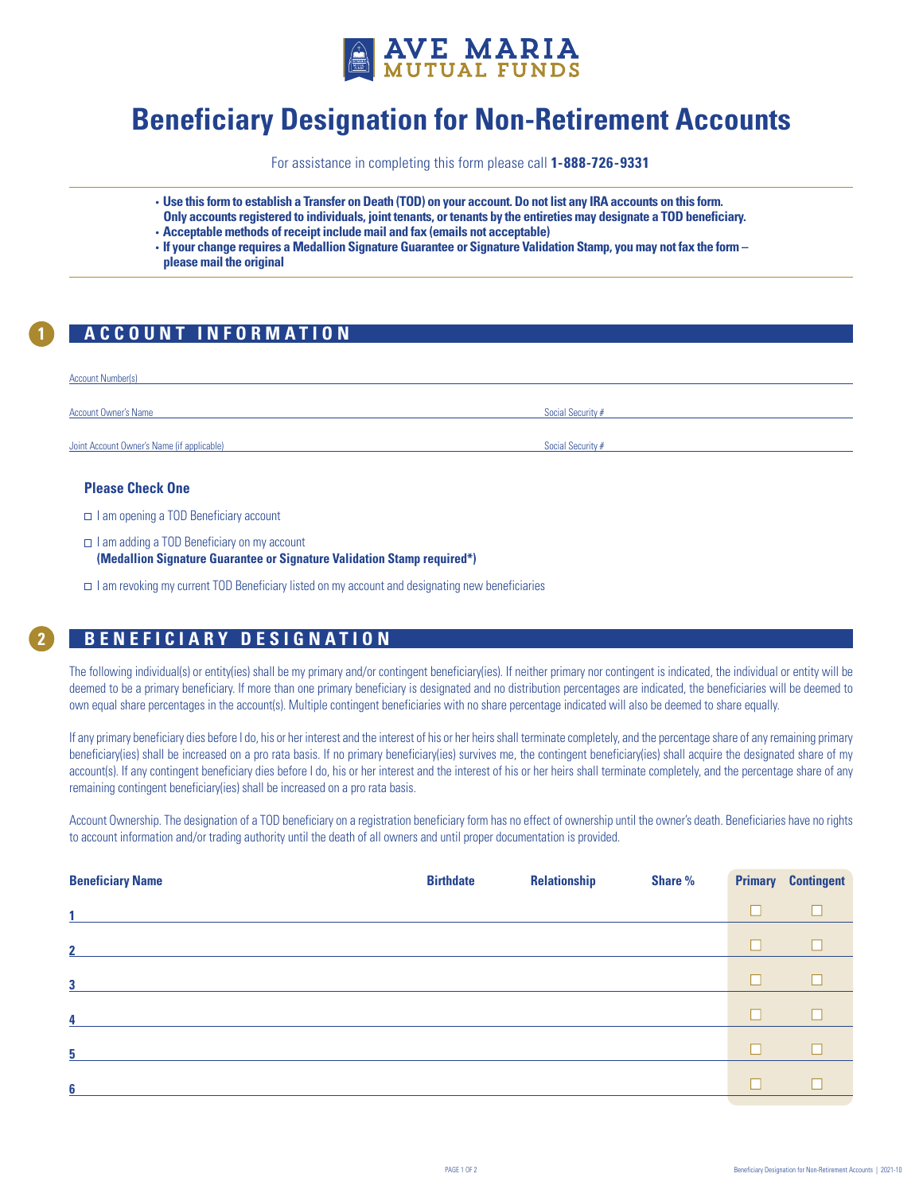

# **Beneficiary Designation for Non-Retirement Accounts**

For assistance in completing this form please call **1-888-726-9331**

- **Use this form to establish a Transfer on Death (TOD) on your account. Do not list any IRA accounts on this form. Only accounts registered to individuals, joint tenants, or tenants by the entireties may designate a TOD beneficiary.**
- **Acceptable methods of receipt include mail and fax (emails not acceptable)**
- **If your change requires a Medallion Signature Guarantee or Signature Validation Stamp, you may not fax the form please mail the original**

# **1 ACCOUNT INFORMATION**

| <b>Account Number(s)</b>                   |                   |
|--------------------------------------------|-------------------|
| <b>Account Owner's Name</b>                | Social Security # |
|                                            |                   |
| Joint Account Owner's Name (if applicable) | Social Security # |

## **Please Check One**

- □ I am opening a TOD Beneficiary account
- $\Box$  I am adding a TOD Beneficiary on my account **(Medallion Signature Guarantee or Signature Validation Stamp required\*)**
- I am revoking my current TOD Beneficiary listed on my account and designating new beneficiaries

# **12 ACCOUNT INFORMATION BENEFICIARY DESIGNATION**

The following individual(s) or entity(ies) shall be my primary and/or contingent beneficiary(ies). If neither primary nor contingent is indicated, the individual or entity will be deemed to be a primary beneficiary. If more than one primary beneficiary is designated and no distribution percentages are indicated, the beneficiaries will be deemed to own equal share percentages in the account(s). Multiple contingent beneficiaries with no share percentage indicated will also be deemed to share equally.

If any primary beneficiary dies before I do, his or her interest and the interest of his or her heirs shall terminate completely, and the percentage share of any remaining primary beneficiary(ies) shall be increased on a pro rata basis. If no primary beneficiary(ies) survives me, the contingent beneficiary(ies) shall acquire the designated share of my account(s). If any contingent beneficiary dies before I do, his or her interest and the interest of his or her heirs shall terminate completely, and the percentage share of any remaining contingent beneficiary(ies) shall be increased on a pro rata basis.

Account Ownership. The designation of a TOD beneficiary on a registration beneficiary form has no effect of ownership until the owner's death. Beneficiaries have no rights to account information and/or trading authority until the death of all owners and until proper documentation is provided.

| <b>Birthdate</b> | <b>Relationship</b> | Share % |   | <b>Primary Contingent</b> |
|------------------|---------------------|---------|---|---------------------------|
|                  |                     |         | П |                           |
|                  |                     |         | Ш |                           |
|                  |                     |         | □ |                           |
|                  |                     |         | ш |                           |
|                  |                     |         | Ш |                           |
|                  |                     |         |   |                           |
|                  |                     |         |   |                           |